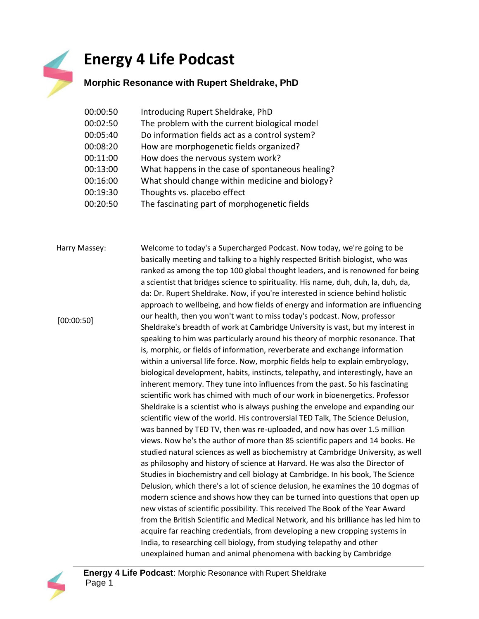## **Energy 4 Life Podcast**

## **Morphic Resonance with Rupert Sheldrake, PhD**

| 00:00:50 | Introducing Rupert Sheldrake, PhD                |
|----------|--------------------------------------------------|
| 00:02:50 | The problem with the current biological model    |
| 00:05:40 | Do information fields act as a control system?   |
| 00:08:20 | How are morphogenetic fields organized?          |
| 00:11:00 | How does the nervous system work?                |
| 00:13:00 | What happens in the case of spontaneous healing? |
| 00:16:00 | What should change within medicine and biology?  |
| 00:19:30 | Thoughts vs. placebo effect                      |
| 00:20:50 | The fascinating part of morphogenetic fields     |
|          |                                                  |

Harry Massey: Welcome to today's a Supercharged Podcast. Now today, we're going to be basically meeting and talking to a highly respected British biologist, who was ranked as among the top 100 global thought leaders, and is renowned for being a scientist that bridges science to spirituality. His name, duh, duh, la, duh, da, da: Dr. Rupert Sheldrake. Now, if you're interested in science behind holistic approach to wellbeing, and how fields of energy and information are influencing our health, then you won't want to miss today's podcast. Now, professor Sheldrake's breadth of work at Cambridge University is vast, but my interest in speaking to him was particularly around his theory of morphic resonance. That is, morphic, or fields of information, reverberate and exchange information within a universal life force. Now, morphic fields help to explain embryology, biological development, habits, instincts, telepathy, and interestingly, have an inherent memory. They tune into influences from the past. So his fascinating scientific work has chimed with much of our work in bioenergetics. Professor Sheldrake is a scientist who is always pushing the envelope and expanding our scientific view of the world. His controversial TED Talk, The Science Delusion, was banned by TED TV, then was re-uploaded, and now has over 1.5 million views. Now he's the author of more than 85 scientific papers and 14 books. He studied natural sciences as well as biochemistry at Cambridge University, as well as philosophy and history of science at Harvard. He was also the Director of Studies in biochemistry and cell biology at Cambridge. In his book, The Science Delusion, which there's a lot of science delusion, he examines the 10 dogmas of modern science and shows how they can be turned into questions that open up new vistas of scientific possibility. This received The Book of the Year Award from the British Scientific and Medical Network, and his brilliance has led him to acquire far reaching credentials, from developing a new cropping systems in India, to researching cell biology, from studying telepathy and other unexplained human and animal phenomena with backing by Cambridge [00:00:50]

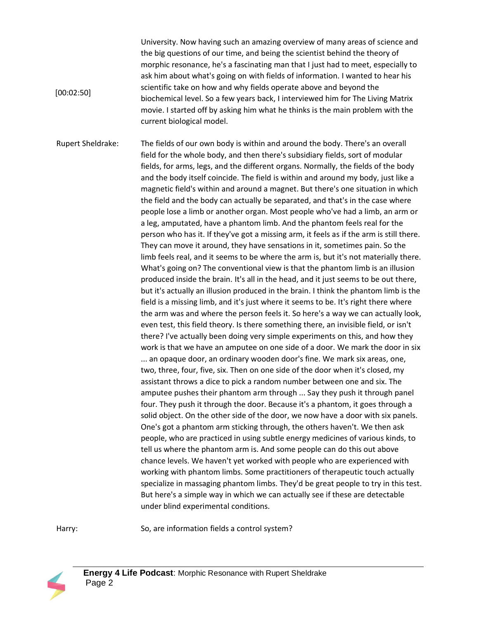University. Now having such an amazing overview of many areas of science and the big questions of our time, and being the scientist behind the theory of morphic resonance, he's a fascinating man that I just had to meet, especially to ask him about what's going on with fields of information. I wanted to hear his scientific take on how and why fields operate above and beyond the biochemical level. So a few years back, I interviewed him for The Living Matrix movie. I started off by asking him what he thinks is the main problem with the current biological model.

Rupert Sheldrake: The fields of our own body is within and around the body. There's an overall field for the whole body, and then there's subsidiary fields, sort of modular fields, for arms, legs, and the different organs. Normally, the fields of the body and the body itself coincide. The field is within and around my body, just like a magnetic field's within and around a magnet. But there's one situation in which the field and the body can actually be separated, and that's in the case where people lose a limb or another organ. Most people who've had a limb, an arm or a leg, amputated, have a phantom limb. And the phantom feels real for the person who has it. If they've got a missing arm, it feels as if the arm is still there. They can move it around, they have sensations in it, sometimes pain. So the limb feels real, and it seems to be where the arm is, but it's not materially there. What's going on? The conventional view is that the phantom limb is an illusion produced inside the brain. It's all in the head, and it just seems to be out there, but it's actually an illusion produced in the brain. I think the phantom limb is the field is a missing limb, and it's just where it seems to be. It's right there where the arm was and where the person feels it. So here's a way we can actually look, even test, this field theory. Is there something there, an invisible field, or isn't there? I've actually been doing very simple experiments on this, and how they work is that we have an amputee on one side of a door. We mark the door in six ... an opaque door, an ordinary wooden door's fine. We mark six areas, one, two, three, four, five, six. Then on one side of the door when it's closed, my assistant throws a dice to pick a random number between one and six. The amputee pushes their phantom arm through ... Say they push it through panel four. They push it through the door. Because it's a phantom, it goes through a solid object. On the other side of the door, we now have a door with six panels. One's got a phantom arm sticking through, the others haven't. We then ask people, who are practiced in using subtle energy medicines of various kinds, to tell us where the phantom arm is. And some people can do this out above chance levels. We haven't yet worked with people who are experienced with working with phantom limbs. Some practitioners of therapeutic touch actually specialize in massaging phantom limbs. They'd be great people to try in this test. But here's a simple way in which we can actually see if these are detectable under blind experimental conditions.

Harry: So, are information fields a control system?



 $[00:02:50]$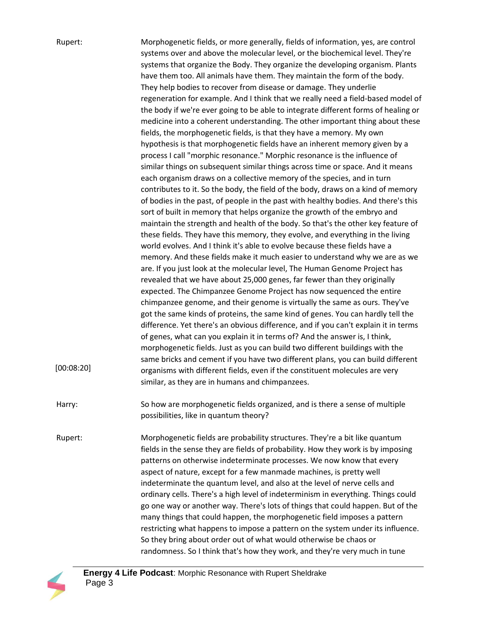| Rupert:<br>[00:08:20] | Morphogenetic fields, or more generally, fields of information, yes, are control<br>systems over and above the molecular level, or the biochemical level. They're<br>systems that organize the Body. They organize the developing organism. Plants<br>have them too. All animals have them. They maintain the form of the body.<br>They help bodies to recover from disease or damage. They underlie<br>regeneration for example. And I think that we really need a field-based model of<br>the body if we're ever going to be able to integrate different forms of healing or<br>medicine into a coherent understanding. The other important thing about these<br>fields, the morphogenetic fields, is that they have a memory. My own<br>hypothesis is that morphogenetic fields have an inherent memory given by a<br>process I call "morphic resonance." Morphic resonance is the influence of<br>similar things on subsequent similar things across time or space. And it means<br>each organism draws on a collective memory of the species, and in turn<br>contributes to it. So the body, the field of the body, draws on a kind of memory<br>of bodies in the past, of people in the past with healthy bodies. And there's this<br>sort of built in memory that helps organize the growth of the embryo and<br>maintain the strength and health of the body. So that's the other key feature of<br>these fields. They have this memory, they evolve, and everything in the living<br>world evolves. And I think it's able to evolve because these fields have a<br>memory. And these fields make it much easier to understand why we are as we<br>are. If you just look at the molecular level, The Human Genome Project has<br>revealed that we have about 25,000 genes, far fewer than they originally<br>expected. The Chimpanzee Genome Project has now sequenced the entire<br>chimpanzee genome, and their genome is virtually the same as ours. They've<br>got the same kinds of proteins, the same kind of genes. You can hardly tell the<br>difference. Yet there's an obvious difference, and if you can't explain it in terms<br>of genes, what can you explain it in terms of? And the answer is, I think,<br>morphogenetic fields. Just as you can build two different buildings with the<br>same bricks and cement if you have two different plans, you can build different<br>organisms with different fields, even if the constituent molecules are very<br>similar, as they are in humans and chimpanzees. |
|-----------------------|--------------------------------------------------------------------------------------------------------------------------------------------------------------------------------------------------------------------------------------------------------------------------------------------------------------------------------------------------------------------------------------------------------------------------------------------------------------------------------------------------------------------------------------------------------------------------------------------------------------------------------------------------------------------------------------------------------------------------------------------------------------------------------------------------------------------------------------------------------------------------------------------------------------------------------------------------------------------------------------------------------------------------------------------------------------------------------------------------------------------------------------------------------------------------------------------------------------------------------------------------------------------------------------------------------------------------------------------------------------------------------------------------------------------------------------------------------------------------------------------------------------------------------------------------------------------------------------------------------------------------------------------------------------------------------------------------------------------------------------------------------------------------------------------------------------------------------------------------------------------------------------------------------------------------------------------------------------------------------------------------------------------------------------------------------------------------------------------------------------------------------------------------------------------------------------------------------------------------------------------------------------------------------------------------------------------------------------------------------------------------------------------------------------------------------------------------------------------------------------------------------------------------------------|
| Harry:                | So how are morphogenetic fields organized, and is there a sense of multiple<br>possibilities, like in quantum theory?                                                                                                                                                                                                                                                                                                                                                                                                                                                                                                                                                                                                                                                                                                                                                                                                                                                                                                                                                                                                                                                                                                                                                                                                                                                                                                                                                                                                                                                                                                                                                                                                                                                                                                                                                                                                                                                                                                                                                                                                                                                                                                                                                                                                                                                                                                                                                                                                                |
| Rupert:               | Morphogenetic fields are probability structures. They're a bit like quantum<br>fields in the sense they are fields of probability. How they work is by imposing<br>patterns on otherwise indeterminate processes. We now know that every<br>aspect of nature, except for a few manmade machines, is pretty well<br>indeterminate the quantum level, and also at the level of nerve cells and<br>ordinary cells. There's a high level of indeterminism in everything. Things could<br>go one way or another way. There's lots of things that could happen. But of the<br>many things that could happen, the morphogenetic field imposes a pattern<br>restricting what happens to impose a pattern on the system under its influence.<br>So they bring about order out of what would otherwise be chaos or<br>randomness. So I think that's how they work, and they're very much in tune                                                                                                                                                                                                                                                                                                                                                                                                                                                                                                                                                                                                                                                                                                                                                                                                                                                                                                                                                                                                                                                                                                                                                                                                                                                                                                                                                                                                                                                                                                                                                                                                                                               |

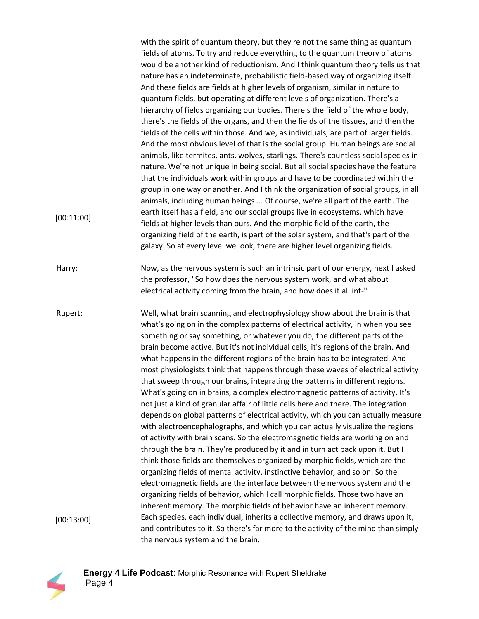with the spirit of quantum theory, but they're not the same thing as quantum fields of atoms. To try and reduce everything to the quantum theory of atoms would be another kind of reductionism. And I think quantum theory tells us that nature has an indeterminate, probabilistic field-based way of organizing itself. And these fields are fields at higher levels of organism, similar in nature to quantum fields, but operating at different levels of organization. There's a hierarchy of fields organizing our bodies. There's the field of the whole body, there's the fields of the organs, and then the fields of the tissues, and then the fields of the cells within those. And we, as individuals, are part of larger fields. And the most obvious level of that is the social group. Human beings are social animals, like termites, ants, wolves, starlings. There's countless social species in nature. We're not unique in being social. But all social species have the feature that the individuals work within groups and have to be coordinated within the group in one way or another. And I think the organization of social groups, in all animals, including human beings ... Of course, we're all part of the earth. The earth itself has a field, and our social groups live in ecosystems, which have fields at higher levels than ours. And the morphic field of the earth, the organizing field of the earth, is part of the solar system, and that's part of the galaxy. So at every level we look, there are higher level organizing fields. Harry: Now, as the nervous system is such an intrinsic part of our energy, next I asked the professor, "So how does the nervous system work, and what about electrical activity coming from the brain, and how does it all int-" Rupert: Well, what brain scanning and electrophysiology show about the brain is that what's going on in the complex patterns of electrical activity, in when you see something or say something, or whatever you do, the different parts of the brain become active. But it's not individual cells, it's regions of the brain. And what happens in the different regions of the brain has to be integrated. And most physiologists think that happens through these waves of electrical activity that sweep through our brains, integrating the patterns in different regions. What's going on in brains, a complex electromagnetic patterns of activity. It's not just a kind of granular affair of little cells here and there. The integration depends on global patterns of electrical activity, which you can actually measure with electroencephalographs, and which you can actually visualize the regions of activity with brain scans. So the electromagnetic fields are working on and through the brain. They're produced by it and in turn act back upon it. But I think those fields are themselves organized by morphic fields, which are the organizing fields of mental activity, instinctive behavior, and so on. So the electromagnetic fields are the interface between the nervous system and the organizing fields of behavior, which I call morphic fields. Those two have an inherent memory. The morphic fields of behavior have an inherent memory. Each species, each individual, inherits a collective memory, and draws upon it, and contributes to it. So there's far more to the activity of the mind than simply the nervous system and the brain. [00:11:00] [00:13:00]

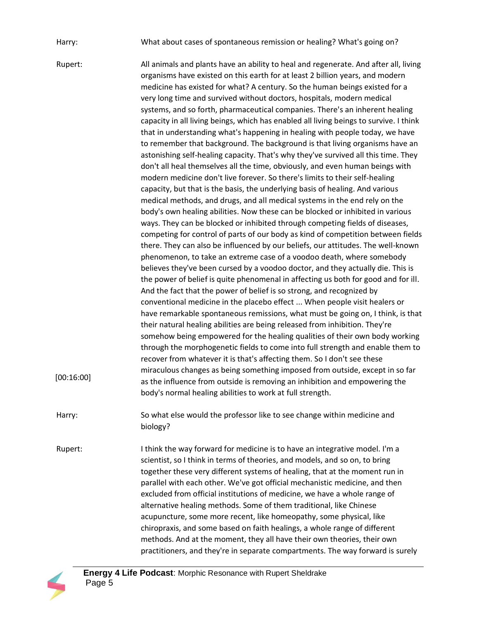Harry: What about cases of spontaneous remission or healing? What's going on?

Rupert: All animals and plants have an ability to heal and regenerate. And after all, living organisms have existed on this earth for at least 2 billion years, and modern medicine has existed for what? A century. So the human beings existed for a very long time and survived without doctors, hospitals, modern medical systems, and so forth, pharmaceutical companies. There's an inherent healing capacity in all living beings, which has enabled all living beings to survive. I think that in understanding what's happening in healing with people today, we have to remember that background. The background is that living organisms have an astonishing self-healing capacity. That's why they've survived all this time. They don't all heal themselves all the time, obviously, and even human beings with modern medicine don't live forever. So there's limits to their self-healing capacity, but that is the basis, the underlying basis of healing. And various medical methods, and drugs, and all medical systems in the end rely on the body's own healing abilities. Now these can be blocked or inhibited in various ways. They can be blocked or inhibited through competing fields of diseases, competing for control of parts of our body as kind of competition between fields there. They can also be influenced by our beliefs, our attitudes. The well-known phenomenon, to take an extreme case of a voodoo death, where somebody believes they've been cursed by a voodoo doctor, and they actually die. This is the power of belief is quite phenomenal in affecting us both for good and for ill. And the fact that the power of belief is so strong, and recognized by conventional medicine in the placebo effect ... When people visit healers or have remarkable spontaneous remissions, what must be going on, I think, is that their natural healing abilities are being released from inhibition. They're somehow being empowered for the healing qualities of their own body working through the morphogenetic fields to come into full strength and enable them to recover from whatever it is that's affecting them. So I don't see these miraculous changes as being something imposed from outside, except in so far as the influence from outside is removing an inhibition and empowering the body's normal healing abilities to work at full strength. Harry: So what else would the professor like to see change within medicine and biology? Rupert: I think the way forward for medicine is to have an integrative model. I'm a scientist, so I think in terms of theories, and models, and so on, to bring together these very different systems of healing, that at the moment run in parallel with each other. We've got official mechanistic medicine, and then excluded from official institutions of medicine, we have a whole range of alternative healing methods. Some of them traditional, like Chinese acupuncture, some more recent, like homeopathy, some physical, like chiropraxis, and some based on faith healings, a whole range of different methods. And at the moment, they all have their own theories, their own [00:16:00]



practitioners, and they're in separate compartments. The way forward is surely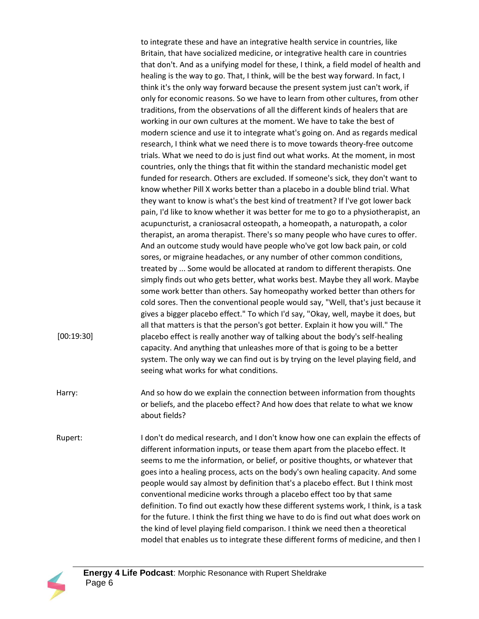to integrate these and have an integrative health service in countries, like Britain, that have socialized medicine, or integrative health care in countries that don't. And as a unifying model for these, I think, a field model of health and healing is the way to go. That, I think, will be the best way forward. In fact, I think it's the only way forward because the present system just can't work, if only for economic reasons. So we have to learn from other cultures, from other traditions, from the observations of all the different kinds of healers that are working in our own cultures at the moment. We have to take the best of modern science and use it to integrate what's going on. And as regards medical research, I think what we need there is to move towards theory-free outcome trials. What we need to do is just find out what works. At the moment, in most countries, only the things that fit within the standard mechanistic model get funded for research. Others are excluded. If someone's sick, they don't want to know whether Pill X works better than a placebo in a double blind trial. What they want to know is what's the best kind of treatment? If I've got lower back pain, I'd like to know whether it was better for me to go to a physiotherapist, an acupuncturist, a craniosacral osteopath, a homeopath, a naturopath, a color therapist, an aroma therapist. There's so many people who have cures to offer. And an outcome study would have people who've got low back pain, or cold sores, or migraine headaches, or any number of other common conditions, treated by ... Some would be allocated at random to different therapists. One simply finds out who gets better, what works best. Maybe they all work. Maybe some work better than others. Say homeopathy worked better than others for cold sores. Then the conventional people would say, "Well, that's just because it gives a bigger placebo effect." To which I'd say, "Okay, well, maybe it does, but all that matters is that the person's got better. Explain it how you will." The placebo effect is really another way of talking about the body's self-healing capacity. And anything that unleashes more of that is going to be a better system. The only way we can find out is by trying on the level playing field, and seeing what works for what conditions.

- Harry: And so how do we explain the connection between information from thoughts or beliefs, and the placebo effect? And how does that relate to what we know about fields?
- Rupert: I don't do medical research, and I don't know how one can explain the effects of different information inputs, or tease them apart from the placebo effect. It seems to me the information, or belief, or positive thoughts, or whatever that goes into a healing process, acts on the body's own healing capacity. And some people would say almost by definition that's a placebo effect. But I think most conventional medicine works through a placebo effect too by that same definition. To find out exactly how these different systems work, I think, is a task for the future. I think the first thing we have to do is find out what does work on the kind of level playing field comparison. I think we need then a theoretical model that enables us to integrate these different forms of medicine, and then I



[00:19:30]